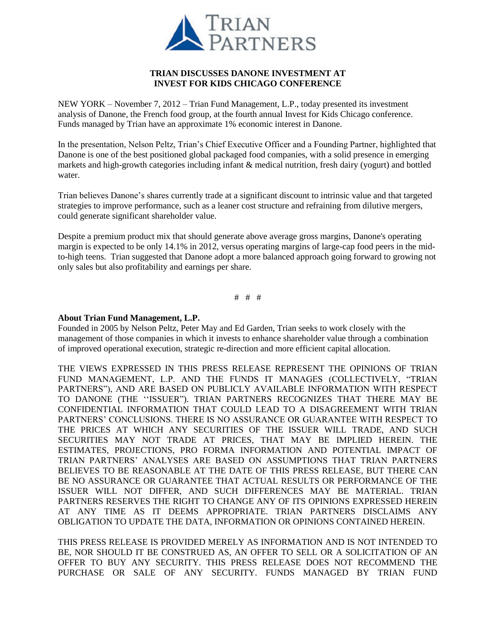

## **TRIAN DISCUSSES DANONE INVESTMENT AT INVEST FOR KIDS CHICAGO CONFERENCE**

NEW YORK – November 7, 2012 – Trian Fund Management, L.P., today presented its investment analysis of Danone, the French food group, at the fourth annual Invest for Kids Chicago conference. Funds managed by Trian have an approximate 1% economic interest in Danone.

In the presentation, Nelson Peltz, Trian's Chief Executive Officer and a Founding Partner, highlighted that Danone is one of the best positioned global packaged food companies, with a solid presence in emerging markets and high-growth categories including infant & medical nutrition, fresh dairy (yogurt) and bottled water.

Trian believes Danone's shares currently trade at a significant discount to intrinsic value and that targeted strategies to improve performance, such as a leaner cost structure and refraining from dilutive mergers, could generate significant shareholder value.

Despite a premium product mix that should generate above average gross margins, Danone's operating margin is expected to be only 14.1% in 2012, versus operating margins of large-cap food peers in the midto-high teens. Trian suggested that Danone adopt a more balanced approach going forward to growing not only sales but also profitability and earnings per share.

# # #

## **About Trian Fund Management, L.P.**

Founded in 2005 by Nelson Peltz, Peter May and Ed Garden, Trian seeks to work closely with the management of those companies in which it invests to enhance shareholder value through a combination of improved operational execution, strategic re-direction and more efficient capital allocation.

THE VIEWS EXPRESSED IN THIS PRESS RELEASE REPRESENT THE OPINIONS OF TRIAN FUND MANAGEMENT, L.P. AND THE FUNDS IT MANAGES (COLLECTIVELY, "TRIAN PARTNERS"), AND ARE BASED ON PUBLICLY AVAILABLE INFORMATION WITH RESPECT TO DANONE (THE ''ISSUER"). TRIAN PARTNERS RECOGNIZES THAT THERE MAY BE CONFIDENTIAL INFORMATION THAT COULD LEAD TO A DISAGREEMENT WITH TRIAN PARTNERS' CONCLUSIONS. THERE IS NO ASSURANCE OR GUARANTEE WITH RESPECT TO THE PRICES AT WHICH ANY SECURITIES OF THE ISSUER WILL TRADE, AND SUCH SECURITIES MAY NOT TRADE AT PRICES, THAT MAY BE IMPLIED HEREIN. THE ESTIMATES, PROJECTIONS, PRO FORMA INFORMATION AND POTENTIAL IMPACT OF TRIAN PARTNERS' ANALYSES ARE BASED ON ASSUMPTIONS THAT TRIAN PARTNERS BELIEVES TO BE REASONABLE AT THE DATE OF THIS PRESS RELEASE, BUT THERE CAN BE NO ASSURANCE OR GUARANTEE THAT ACTUAL RESULTS OR PERFORMANCE OF THE ISSUER WILL NOT DIFFER, AND SUCH DIFFERENCES MAY BE MATERIAL. TRIAN PARTNERS RESERVES THE RIGHT TO CHANGE ANY OF ITS OPINIONS EXPRESSED HEREIN AT ANY TIME AS IT DEEMS APPROPRIATE. TRIAN PARTNERS DISCLAIMS ANY OBLIGATION TO UPDATE THE DATA, INFORMATION OR OPINIONS CONTAINED HEREIN.

THIS PRESS RELEASE IS PROVIDED MERELY AS INFORMATION AND IS NOT INTENDED TO BE, NOR SHOULD IT BE CONSTRUED AS, AN OFFER TO SELL OR A SOLICITATION OF AN OFFER TO BUY ANY SECURITY. THIS PRESS RELEASE DOES NOT RECOMMEND THE PURCHASE OR SALE OF ANY SECURITY. FUNDS MANAGED BY TRIAN FUND